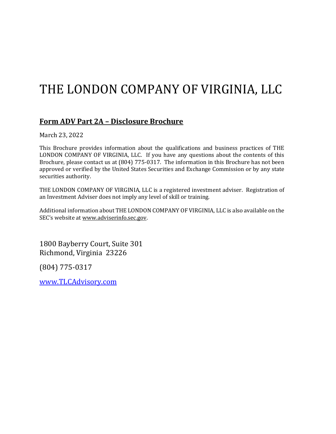# THE LONDON COMPANY OF VIRGINIA, LLC

# **Form ADV Part 2A – Disclosure Brochure**

March 23, 2022

This Brochure provides information about the qualifications and business practices of THE LONDON COMPANY OF VIRGINIA, LLC. If you have any questions about the contents of this Brochure, please contact us at (804) 775-0317. The information in this Brochure has not been approved or verified by the United States Securities and Exchange Commission or by any state securities authority.

THE LONDON COMPANY OF VIRGINIA, LLC is a registered investment adviser. Registration of an Investment Adviser does not imply any level of skill or training.

Additional information about THE LONDON COMPANY OF VIRGINIA, LLC is also available on the SEC's website at [www.adviserinfo.sec.gov.](http://www.adviserinfo.sec.gov/) 

1800 Bayberry Court, Suite 301 Richmond, Virginia 23226

(804) 775-0317

[www.TLCAdvisory.com](http://www.tlcadvisory.com/)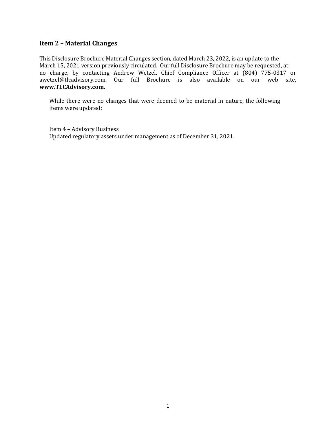#### **Item 2 – Material Changes**

This Disclosure Brochure Material Changes section, dated March 23, 2022, is an update to the March 15, 2021 version previously circulated. Our full Disclosure Brochure may be requested, at no charge, by contacting Andrew Wetzel, Chief Compliance Officer at (804) 775-0317 or awetzel@tlcadvisory.com. Our full Brochure is also available on our web site, **www.TLCAdvisory.com.** 

While there were no changes that were deemed to be material in nature, the following items were updated:

Item 4 – Advisory Business Updated regulatory assets under management as of December 31, 2021.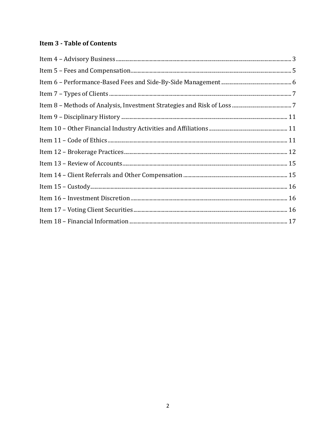# **Item 3 - Table of Contents**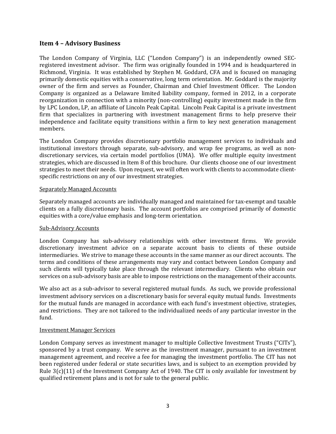#### <span id="page-3-0"></span>**Item 4 – Advisory Business**

The London Company of Virginia, LLC ("London Company") is an independently owned SECregistered investment advisor. The firm was originally founded in 1994 and is headquartered in Richmond, Virginia. It was established by Stephen M. Goddard, CFA and is focused on managing primarily domestic equities with a conservative, long term orientation. Mr. Goddard is the majority owner of the firm and serves as Founder, Chairman and Chief Investment Officer. The London Company is organized as a Delaware limited liability company, formed in 2012, in a corporate reorganization in connection with a minority (non-controlling) equity investment made in the firm by LPC London, LP, an affiliate of Lincoln Peak Capital. Lincoln Peak Capital is a private investment firm that specializes in partnering with investment management firms to help preserve their independence and facilitate equity transitions within a firm to key next generation management members.

The London Company provides discretionary portfolio management services to individuals and institutional investors through separate, sub-advisory, and wrap fee programs, as well as nondiscretionary services, via certain model portfolios (UMA). We offer multiple equity investment strategies, which are discussed in Item 8 of this brochure. Our clients choose one of our investment strategies to meet their needs. Upon request, we will often work with clients to accommodate clientspecific restrictions on any of our investment strategies.

#### Separately Managed Accounts

Separately managed accounts are individually managed and maintained for tax-exempt and taxable clients on a fully discretionary basis. The account portfolios are comprised primarily of domestic equities with a core/value emphasis and long-term orientation.

#### Sub-Advisory Accounts

London Company has sub-advisory relationships with other investment firms. We provide discretionary investment advice on a separate account basis to clients of these outside intermediaries. We strive to manage these accounts in the same manner as our direct accounts. The terms and conditions of these arrangements may vary and contact between London Company and such clients will typically take place through the relevant intermediary. Clients who obtain our services on a sub-advisory basis are able to impose restrictions on the management of their accounts.

We also act as a sub-advisor to several registered mutual funds. As such, we provide professional investment advisory services on a discretionary basis for several equity mutual funds. Investments for the mutual funds are managed in accordance with each fund's investment objective, strategies, and restrictions. They are not tailored to the individualized needs of any particular investor in the fund.

#### Investment Manager Services

London Company serves as investment manager to multiple Collective Investment Trusts ("CITs"), sponsored by a trust company. We serve as the investment manager, pursuant to an investment management agreement, and receive a fee for managing the investment portfolio. The CIT has not been registered under federal or state securities laws, and is subject to an exemption provided by Rule 3(c)(11) of the Investment Company Act of 1940. The CIT is only available for investment by qualified retirement plans and is not for sale to the general public.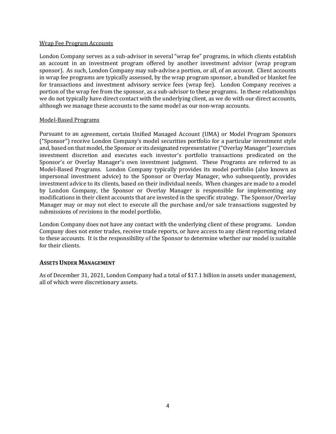#### Wrap Fee Program Accounts

London Company serves as a sub-advisor in several "wrap fee" programs, in which clients establish an account in an investment program offered by another investment advisor (wrap program sponsor). As such, London Company may sub-advise a portion, or all, of an account. Client accounts in wrap fee programs are typically assessed, by the wrap program sponsor, a bundled or blanket fee for transactions and investment advisory service fees (wrap fee). London Company receives a portion of the wrap fee from the sponsor, as a sub-advisor to these programs. In these relationships we do not typically have direct contact with the underlying client, as we do with our direct accounts, although we manage these accounts to the same model as our non-wrap accounts.

#### Model-Based Programs

Pursuant to an agreement, certain Unified Managed Account (UMA) or Model Program Sponsors ("Sponsor") receive London Company's model securities portfolio for a particular investment style and, based on that model, the Sponsor or its designated representative ("Overlay Manager") exercises investment discretion and executes each investor's portfolio transactions predicated on the Sponsor's or Overlay Manager's own investment judgment. These Programs are referred to as Model-Based Programs. London Company typically provides its model portfolio (also known as impersonal investment advice) to the Sponsor or Overlay Manager, who subsequently, provides investment advice to its clients, based on their individual needs. When changes are made to a model by London Company, the Sponsor or Overlay Manager is responsible for implementing any modifications in their client accounts that are invested in the specific strategy. The Sponsor/Overlay Manager may or may not elect to execute all the purchase and/or sale transactions suggested by submissions of revisions in the model portfolio.

London Company does not have any contact with the underlying client of these programs. London Company does not enter trades, receive trade reports, or have access to any client reporting related to these accounts. It is the responsibility of the Sponsor to determine whether our model is suitable for their clients.

#### **ASSETS UNDER MANAGEMENT**

As of December 31, 2021, London Company had a total of \$17.1 billion in assets under management, all of which were discretionary assets.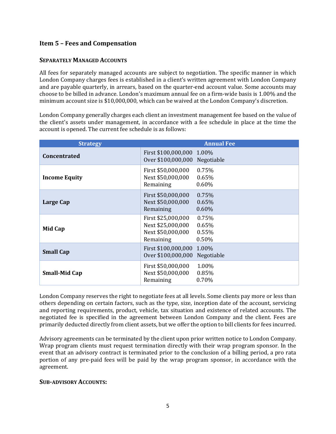# <span id="page-5-0"></span>**Item 5 – Fees and Compensation**

#### **SEPARATELY MANAGED ACCOUNTS**

All fees for separately managed accounts are subject to negotiation. The specific manner in which London Company charges fees is established in a client's written agreement with London Company and are payable quarterly, in arrears, based on the quarter-end account value. Some accounts may choose to be billed in advance. London's maximum annual fee on a firm-wide basis is 1.00% and the minimum account size is \$10,000,000, which can be waived at the London Company's discretion.

London Company generally charges each client an investment management fee based on the value of the client's assets under management, in accordance with a fee schedule in place at the time the account is opened. The current fee schedule is as follows:

| <b>Strategy</b>      |                                                                           | <b>Annual Fee</b>                |
|----------------------|---------------------------------------------------------------------------|----------------------------------|
| <b>Concentrated</b>  | First \$100,000,000 1.00%<br>Over \$100,000,000 Negotiable                |                                  |
| <b>Income Equity</b> | First \$50,000,000<br>Next \$50,000,000<br>Remaining                      | 0.75%<br>0.65%<br>$0.60\%$       |
| Large Cap            | First \$50,000,000<br>Next \$50,000,000<br>Remaining                      | 0.75%<br>0.65%<br>$0.60\%$       |
| Mid Cap              | First \$25,000,000<br>Next \$25,000,000<br>Next \$50,000,000<br>Remaining | 0.75%<br>0.65%<br>0.55%<br>0.50% |
| <b>Small Cap</b>     | First \$100,000,000 1.00%<br>Over \$100,000,000                           | Negotiable                       |
| <b>Small-Mid Cap</b> | First \$50,000,000<br>Next \$50,000,000<br>Remaining                      | 1.00%<br>0.85%<br>$0.70\%$       |

London Company reserves the right to negotiate fees at all levels. Some clients pay more or less than others depending on certain factors, such as the type, size, inception date of the account, servicing and reporting requirements, product, vehicle, tax situation and existence of related accounts. The negotiated fee is specified in the agreement between London Company and the client. Fees are primarily deducted directly from client assets, but we offer the option to bill clients for fees incurred.

Advisory agreements can be terminated by the client upon prior written notice to London Company. Wrap program clients must request termination directly with their wrap program sponsor. In the event that an advisory contract is terminated prior to the conclusion of a billing period, a pro rata portion of any pre-paid fees will be paid by the wrap program sponsor, in accordance with the agreement.

#### **SUB-ADVISORY ACCOUNTS:**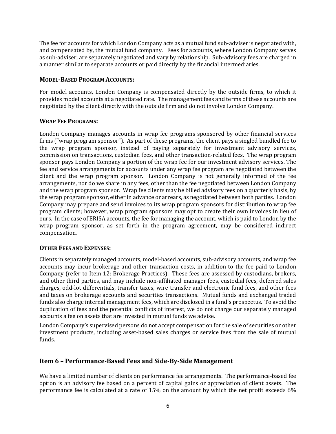The fee for accounts for which London Company acts as a mutual fund sub-adviser is negotiated with, and compensated by, the mutual fund company. Fees for accounts, where London Company serves as sub-adviser, are separately negotiated and vary by relationship. Sub-advisory fees are charged in a manner similar to separate accounts or paid directly by the financial intermediaries.

#### **MODEL-BASED PROGRAM ACCOUNTS:**

For model accounts, London Company is compensated directly by the outside firms, to which it provides model accounts at a negotiated rate. The management fees and terms of these accounts are negotiated by the client directly with the outside firm and do not involve London Company.

#### **WRAP FEE PROGRAMS:**

London Company manages accounts in wrap fee programs sponsored by other financial services firms ("wrap program sponsor"). As part of these programs, the client pays a singled bundled fee to the wrap program sponsor, instead of paying separately for investment advisory services, commission on transactions, custodian fees, and other transaction-related fees. The wrap program sponsor pays London Company a portion of the wrap fee for our investment advisory services. The fee and service arrangements for accounts under any wrap fee program are negotiated between the client and the wrap program sponsor. London Company is not generally informed of the fee arrangements, nor do we share in any fees, other than the fee negotiated between London Company and the wrap program sponsor. Wrap fee clients may be billed advisory fees on a quarterly basis, by the wrap program sponsor, either in advance or arrears, as negotiated between both parties. London Company may prepare and send invoices to its wrap program sponsors for distribution to wrap fee program clients; however, wrap program sponsors may opt to create their own invoices in lieu of ours. In the case of ERISA accounts, the fee for managing the account, which is paid to London by the wrap program sponsor, as set forth in the program agreement, may be considered indirect compensation.

#### **OTHER FEES AND EXPENSES:**

Clients in separately managed accounts, model-based accounts, sub-advisory accounts, and wrap fee accounts may incur brokerage and other transaction costs, in addition to the fee paid to London Company (refer to Item 12: Brokerage Practices). These fees are assessed by custodians, brokers, and other third parties, and may include non-affiliated manager fees, custodial fees, deferred sales charges, odd-lot differentials, transfer taxes, wire transfer and electronic fund fees, and other fees and taxes on brokerage accounts and securities transactions. Mutual funds and exchanged traded funds also charge internal management fees, which are disclosed in a fund's prospectus. To avoid the duplication of fees and the potential conflicts of interest, we do not charge our separately managed accounts a fee on assets that are invested in mutual funds we advise.

London Company's supervised persons do not accept compensation for the sale of securities or other investment products, including asset-based sales charges or service fees from the sale of mutual funds.

# <span id="page-6-0"></span>**Item 6 – Performance-Based Fees and Side-By-Side Management**

We have a limited number of clients on performance fee arrangements. The performance-based fee option is an advisory fee based on a percent of capital gains or appreciation of client assets. The performance fee is calculated at a rate of 15% on the amount by which the net profit exceeds 6%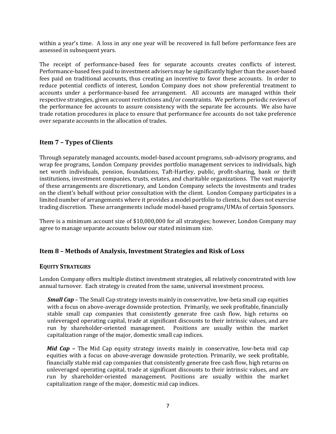within a year's time. A loss in any one year will be recovered in full before performance fees are assessed in subsequent years.

The receipt of performance-based fees for separate accounts creates conflicts of interest. Performance-based fees paid to investment advisers may be significantly higher than the asset-based fees paid on traditional accounts, thus creating an incentive to favor these accounts. In order to reduce potential conflicts of interest, London Company does not show preferential treatment to accounts under a performance-based fee arrangement. All accounts are managed within their respective strategies, given account restrictions and/or constraints. We perform periodic reviews of the performance fee accounts to assure consistency with the separate fee accounts. We also have trade rotation procedures in place to ensure that performance fee accounts do not take preference over separate accounts in the allocation of trades.

## <span id="page-7-0"></span>**Item 7 – Types of Clients**

Through separately managed accounts, model-based account programs, sub-advisory programs, and wrap fee programs, London Company provides portfolio management services to individuals, high net worth individuals, pension, foundations, Taft-Hartley, public, profit-sharing, bank or thrift institutions, investment companies, trusts, estates, and charitable organizations. The vast majority of these arrangements are discretionary, and London Company selects the investments and trades on the client's behalf without prior consultation with the client. London Company participates in a limited number of arrangements where it provides a model portfolio to clients, but does not exercise trading discretion. These arrangements include model-based programs/UMAs of certain Sponsors.

There is a minimum account size of \$10,000,000 for all strategies; however, London Company may agree to manage separate accounts below our stated minimum size.

#### <span id="page-7-1"></span>**Item 8 – Methods of Analysis, Investment Strategies and Risk of Loss**

#### **EQUITY STRATEGIES**

London Company offers multiple distinct investment strategies, all relatively concentrated with low annual turnover. Each strategy is created from the same, universal investment process.

*Small Cap* – The Small Cap strategy invests mainly in conservative, low-beta small cap equities with a focus on above-average downside protection. Primarily, we seek profitable, financially stable small cap companies that consistently generate free cash flow, high returns on unleveraged operating capital, trade at significant discounts to their intrinsic values, and are run by shareholder-oriented management. Positions are usually within the market capitalization range of the major, domestic small cap indices.

*Mid Cap* **–** The Mid Cap equity strategy invests mainly in conservative, low-beta mid cap equities with a focus on above-average downside protection. Primarily, we seek profitable, financially stable mid cap companies that consistently generate free cash flow, high returns on unleveraged operating capital, trade at significant discounts to their intrinsic values, and are run by shareholder-oriented management. Positions are usually within the market capitalization range of the major, domestic mid cap indices.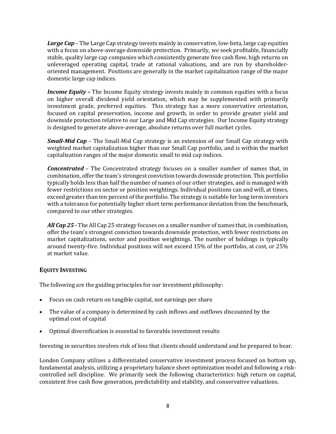*Large Cap* – The Large Cap strategy invests mainly in conservative, low-beta, large cap equities with a focus on above-average downside protection. Primarily, we seek profitable, financially stable, quality large cap companies which consistently generate free cash flow, high returns on unleveraged operating capital, trade at rational valuations, and are run by shareholderoriented management. Positions are generally in the market capitalization range of the major domestic large cap indices.

*Income Equity* – The Income Equity strategy invests mainly in common equities with a focus on higher overall dividend yield orientation, which may be supplemented with primarily investment grade, preferred equities. This strategy has a more conservative orientation, focused on capital preservation, income and growth, in order to provide greater yield and downside protection relative to our Large and Mid Cap strategies. Our Income Equity strategy is designed to generate above-average, absolute returns over full market cycles.

*Small-Mid Cap* – The Small-Mid Cap strategy is an extension of our Small Cap strategy with weighted market capitalization higher than our Small Cap portfolio, and is within the market capitalization ranges of the major domestic small to mid cap indices.

*Concentrated* – The Concentrated strategy focuses on a smaller number of names that, in combination, offer the team's strongest conviction towards downside protection. This portfolio typically holds less than half the number of names of our other strategies, and is managed with fewer restrictions on sector or position weightings. Individual positions can and will, at times, exceed greater than ten percent of the portfolio. The strategy is suitable for long term investors with a tolerance for potentially higher short term performance deviation from the benchmark, compared to our other strategies.

*All Cap 25 -* The All Cap 25 strategy focuses on a smaller number of names that, in combination, offer the team's strongest conviction towards downside protection, with fewer restrictions on market capitalizations, sector and position weightings. The number of holdings is typically around twenty-five. Individual positions will not exceed 15% of the portfolio, at cost, or 25% at market value.

#### **EQUITY INVESTING**

The following are the guiding principles for our investment philosophy:

- Focus on cash return on tangible capital, not earnings per share
- The value of a company is determined by cash inflows and outflows discounted by the optimal cost of capital
- Optimal diversification is essential to favorable investment results

Investing in securities involves risk of loss that clients should understand and be prepared to bear.

London Company utilizes a differentiated conservative investment process focused on bottom up, fundamental analysis, utilizing a proprietary balance sheet optimization model and following a riskcontrolled sell discipline. We primarily seek the following characteristics: high return on capital, consistent free cash flow generation, predictability and stability, and conservative valuations.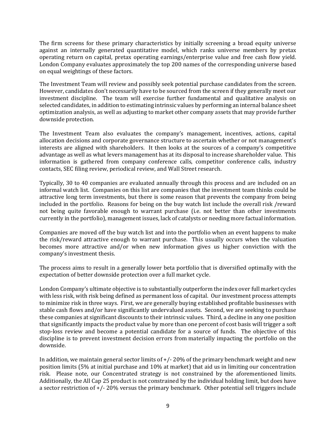The firm screens for these primary characteristics by initially screening a broad equity universe against an internally generated quantitative model, which ranks universe members by pretax operating return on capital, pretax operating earnings/enterprise value and free cash flow yield. London Company evaluates approximately the top 200 names of the corresponding universe based on equal weightings of these factors.

The Investment Team will review and possibly seek potential purchase candidates from the screen. However, candidates don't necessarily have to be sourced from the screen if they generally meet our investment discipline. The team will exercise further fundamental and qualitative analysis on selected candidates, in addition to estimating intrinsic values by performing an internal balance sheet optimization analysis, as well as adjusting to market other company assets that may provide further downside protection.

The Investment Team also evaluates the company's management, incentives, actions, capital allocation decisions and corporate governance structure to ascertain whether or not management's interests are aligned with shareholders. It then looks at the sources of a company's competitive advantage as well as what levers management has at its disposal to increase shareholder value. This information is gathered from company conference calls, competitor conference calls, industry contacts, SEC filing review, periodical review, and Wall Street research.

Typically, 30 to 40 companies are evaluated annually through this process and are included on an informal watch list. Companies on this list are companies that the investment team thinks could be attractive long term investments, but there is some reason that prevents the company from being included in the portfolio. Reasons for being on the buy watch list include the overall risk /reward not being quite favorable enough to warrant purchase (i.e. not better than other investments currently in the portfolio), management issues, lack of catalysts or needing more factual information.

Companies are moved off the buy watch list and into the portfolio when an event happens to make the risk/reward attractive enough to warrant purchase. This usually occurs when the valuation becomes more attractive and/or when new information gives us higher conviction with the company's investment thesis.

The process aims to result in a generally lower beta portfolio that is diversified optimally with the expectation of better downside protection over a full market cycle.

London Company's ultimate objective is to substantially outperform the index over full market cycles with less risk, with risk being defined as permanent loss of capital. Our investment process attempts to minimize risk in three ways. First, we are generally buying established profitable businesses with stable cash flows and/or have significantly undervalued assets. Second, we are seeking to purchase these companies at significant discounts to their intrinsic values. Third, a decline in any one position that significantly impacts the product value by more than one percent of cost basis will trigger a soft stop-loss review and become a potential candidate for a source of funds. The objective of this discipline is to prevent investment decision errors from materially impacting the portfolio on the downside.

In addition, we maintain general sector limits of +/- 20% of the primary benchmark weight and new position limits (5% at initial purchase and 10% at market) that aid us in limiting our concentration risk. Please note, our Concentrated strategy is not constrained by the aforementioned limits. Additionally, the All Cap 25 product is not constrained by the individual holding limit, but does have a sector restriction of  $\frac{+}{-}20\%$  versus the primary benchmark. Other potential sell triggers include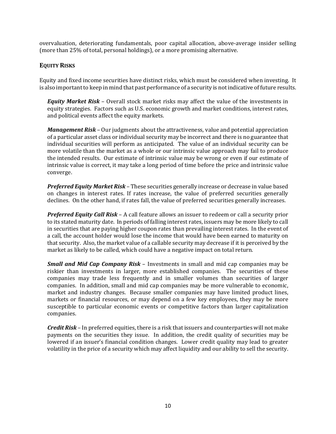overvaluation, deteriorating fundamentals, poor capital allocation, above-average insider selling (more than 25% of total, personal holdings), or a more promising alternative.

## **EQUITY RISKS**

Equity and fixed income securities have distinct risks, which must be considered when investing. It is also important to keep in mind that past performance of a security is not indicative of future results.

*Equity Market Risk* – Overall stock market risks may affect the value of the investments in equity strategies. Factors such as U.S. economic growth and market conditions, interest rates, and political events affect the equity markets.

*Management Risk* – Our judgments about the attractiveness, value and potential appreciation of a particular asset class or individual security may be incorrect and there is no guarantee that individual securities will perform as anticipated. The value of an individual security can be more volatile than the market as a whole or our intrinsic value approach may fail to produce the intended results. Our estimate of intrinsic value may be wrong or even if our estimate of intrinsic value is correct, it may take a long period of time before the price and intrinsic value converge.

*Preferred Equity Market Risk* – These securities generally increase or decrease in value based on changes in interest rates. If rates increase, the value of preferred securities generally declines. On the other hand, if rates fall, the value of preferred securities generally increases.

*Preferred Equity Call Risk* – A call feature allows an issuer to redeem or call a security prior to its stated maturity date. In periods of falling interest rates, issuers may be more likely to call in securities that are paying higher coupon rates than prevailing interest rates. In the event of a call, the account holder would lose the income that would have been earned to maturity on that security. Also, the market value of a callable security may decrease if it is perceived by the market as likely to be called, which could have a negative impact on total return.

*Small and Mid Cap Company Risk* – Investments in small and mid cap companies may be riskier than investments in larger, more established companies. The securities of these companies may trade less frequently and in smaller volumes than securities of larger companies. In addition, small and mid cap companies may be more vulnerable to economic, market and industry changes. Because smaller companies may have limited product lines, markets or financial resources, or may depend on a few key employees, they may be more susceptible to particular economic events or competitive factors than larger capitalization companies.

*Credit Risk* – In preferred equities, there is a risk that issuers and counterparties will not make payments on the securities they issue. In addition, the credit quality of securities may be lowered if an issuer's financial condition changes. Lower credit quality may lead to greater volatility in the price of a security which may affect liquidity and our ability to sell the security.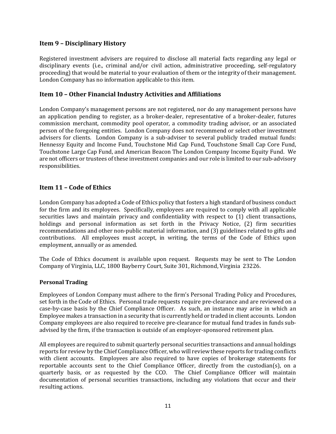## <span id="page-11-0"></span>**Item 9 – Disciplinary History**

Registered investment advisers are required to disclose all material facts regarding any legal or disciplinary events (i.e., criminal and/or civil action, administrative proceeding, self-regulatory proceeding) that would be material to your evaluation of them or the integrity of their management. London Company has no information applicable to this item.

#### <span id="page-11-1"></span>**Item 10 – Other Financial Industry Activities and Affiliations**

London Company's management persons are not registered, nor do any management persons have an application pending to register, as a broker-dealer, representative of a broker-dealer, futures commission merchant, commodity pool operator, a commodity trading advisor, or an associated person of the foregoing entities. London Company does not recommend or select other investment advisers for clients. London Company is a sub-adviser to several publicly traded mutual funds: Hennessy Equity and Income Fund, Touchstone Mid Cap Fund, Touchstone Small Cap Core Fund, Touchstone Large Cap Fund, and American Beacon The London Company Income Equity Fund. We are not officers or trustees of these investment companies and our role is limited to our sub-advisory responsibilities.

## <span id="page-11-2"></span>**Item 11 – Code of Ethics**

London Company has adopted a Code of Ethics policy that fosters a high standard of business conduct for the firm and its employees. Specifically, employees are required to comply with all applicable securities laws and maintain privacy and confidentiality with respect to (1) client transactions, holdings and personal information as set forth in the Privacy Notice, (2) firm securities recommendations and other non-public material information, and (3) guidelines related to gifts and contributions. All employees must accept, in writing, the terms of the Code of Ethics upon employment, annually or as amended.

The Code of Ethics document is available upon request. Requests may be sent to The London Company of Virginia, LLC, 1800 Bayberry Court, Suite 301, Richmond, Virginia 23226.

#### **Personal Trading**

Employees of London Company must adhere to the firm's Personal Trading Policy and Procedures, set forth in the Code of Ethics. Personal trade requests require pre-clearance and are reviewed on a case-by-case basis by the Chief Compliance Officer. As such, an instance may arise in which an Employee makes a transaction in a security that is currently held or traded in client accounts. London Company employees are also required to receive pre-clearance for mutual fund trades in funds subadvised by the firm, if the transaction is outside of an employer-sponsored retirement plan.

All employees are required to submit quarterly personal securities transactions and annual holdings reports for review by the Chief Compliance Officer, who will review these reports for trading conflicts with client accounts. Employees are also required to have copies of brokerage statements for reportable accounts sent to the Chief Compliance Officer, directly from the custodian(s), on a quarterly basis, or as requested by the CCO. The Chief Compliance Officer will maintain documentation of personal securities transactions, including any violations that occur and their resulting actions.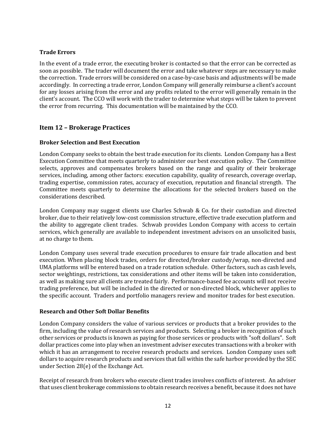#### **Trade Errors**

In the event of a trade error, the executing broker is contacted so that the error can be corrected as soon as possible. The trader will document the error and take whatever steps are necessary to make the correction. Trade errors will be considered on a case-by-case basis and adjustments will be made accordingly. In correcting a trade error, London Company will generally reimburse a client's account for any losses arising from the error and any profits related to the error will generally remain in the client's account. The CCO will work with the trader to determine what steps will be taken to prevent the error from recurring. This documentation will be maintained by the CCO.

## <span id="page-12-0"></span>**Item 12 – Brokerage Practices**

#### **Broker Selection and Best Execution**

London Company seeks to obtain the best trade execution for its clients. London Company has a Best Execution Committee that meets quarterly to administer our best execution policy. The Committee selects, approves and compensates brokers based on the range and quality of their brokerage services, including, among other factors: execution capability, quality of research, coverage overlap, trading expertise, commission rates, accuracy of execution, reputation and financial strength. The Committee meets quarterly to determine the allocations for the selected brokers based on the considerations described.

London Company may suggest clients use Charles Schwab & Co. for their custodian and directed broker, due to their relatively low-cost commission structure, effective trade execution platform and the ability to aggregate client trades. Schwab provides London Company with access to certain services, which generally are available to independent investment advisors on an unsolicited basis, at no charge to them.

London Company uses several trade execution procedures to ensure fair trade allocation and best execution. When placing block trades, orders for directed/broker custody/wrap, non-directed and UMA platforms will be entered based on a trade rotation schedule. Other factors, such as cash levels, sector weightings, restrictions, tax considerations and other items will be taken into consideration, as well as making sure all clients are treated fairly. Performance-based fee accounts will not receive trading preference, but will be included in the directed or non-directed block, whichever applies to the specific account. Traders and portfolio managers review and monitor trades for best execution.

#### **Research and Other Soft Dollar Benefits**

London Company considers the value of various services or products that a broker provides to the firm, including the value of research services and products. Selecting a broker in recognition of such other services or products is known as paying for those services or products with "soft dollars". Soft dollar practices come into play when an investment adviser executes transactions with a broker with which it has an arrangement to receive research products and services. London Company uses soft dollars to acquire research products and services that fall within the safe harbor provided by the SEC under Section 28(e) of the Exchange Act.

Receipt of research from brokers who execute client trades involves conflicts of interest. An adviser that uses client brokerage commissions to obtain research receives a benefit, because it does not have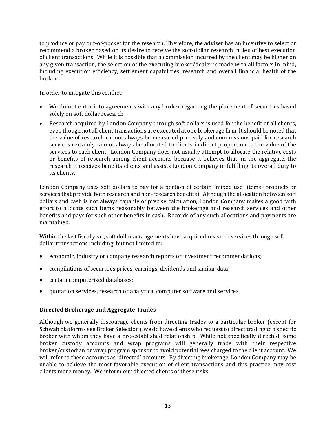to produce or pay out-of-pocket for the research. Therefore, the adviser has an incentive to select or recommend a broker based on its desire to receive the soft-dollar research in lieu of best execution of client transactions. While it is possible that a commission incurred by the client may be higher on any given transaction, the selection of the executing broker/dealer is made with all factors in mind, including execution efficiency, settlement capabilities, research and overall financial health of the broker.

In order to mitigate this conflict:

- We do not enter into agreements with any broker regarding the placement of securities based solely on soft dollar research.
- Research acquired by London Company through soft dollars is used for the benefit of all clients, even though not all client transactions are executed at one brokerage firm. It should be noted that the value of research cannot always be measured precisely and commissions paid for research services certainly cannot always be allocated to clients in direct proportion to the value of the services to each client. London Company does not usually attempt to allocate the relative costs or benefits of research among client accounts because it believes that, in the aggregate, the research it receives benefits clients and assists London Company in fulfilling its overall duty to its clients.

London Company uses soft dollars to pay for a portion of certain "mixed use" items (products or services that provide both research and non-research benefits). Although the allocation between soft dollars and cash is not always capable of precise calculation, London Company makes a good faith effort to allocate such items reasonably between the brokerage and research services and other benefits and pays for such other benefits in cash. Records of any such allocations and payments are maintained.

Within the last fiscal year, soft dollar arrangements have acquired research services through soft dollar transactions including, but not limited to:

- economic, industry or company research reports or investment recommendations;
- compilations of securities prices, earnings, dividends and similar data;
- certain computerized databases;
- quotation services, research or analytical computer software and services.

#### **Directed Brokerage and Aggregate Trades**

Although we generally discourage clients from directing trades to a particular broker (except for Schwab platform - see Broker Selection), we do have clients who request to direct trading to a specific broker with whom they have a pre-established relationship. While not specifically directed, some broker custody accounts and wrap programs will generally trade with their respective broker/custodian or wrap program sponsor to avoid potential fees charged to the client account. We will refer to these accounts as 'directed' accounts. By directing brokerage, London Company may be unable to achieve the most favorable execution of client transactions and this practice may cost clients more money. We inform our directed clients of these risks.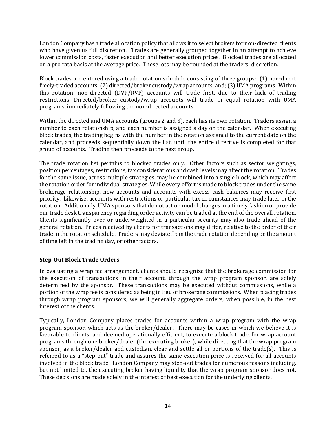London Company has a trade allocation policy that allows it to select brokers for non-directed clients who have given us full discretion. Trades are generally grouped together in an attempt to achieve lower commission costs, faster execution and better execution prices. Blocked trades are allocated on a pro rata basis at the average price. These lots may be rounded at the traders' discretion.

Block trades are entered using a trade rotation schedule consisting of three groups: (1) non-direct freely-traded accounts; (2) directed/broker custody/wrap accounts, and; (3) UMA programs. Within this rotation, non-directed (DVP/RVP) accounts will trade first, due to their lack of trading restrictions. Directed/broker custody/wrap accounts will trade in equal rotation with UMA programs, immediately following the non-directed accounts.

Within the directed and UMA accounts (groups 2 and 3), each has its own rotation. Traders assign a number to each relationship, and each number is assigned a day on the calendar. When executing block trades, the trading begins with the number in the rotation assigned to the current date on the calendar, and proceeds sequentially down the list, until the entire directive is completed for that group of accounts. Trading then proceeds to the next group.

The trade rotation list pertains to blocked trades only. Other factors such as sector weightings, position percentages, restrictions, tax considerations and cash levels may affect the rotation. Trades for the same issue, across multiple strategies, may be combined into a single block, which may affect the rotation order for individual strategies. While every effort is made to block trades under the same brokerage relationship, new accounts and accounts with excess cash balances may receive first priority. Likewise, accounts with restrictions or particular tax circumstances may trade later in the rotation. Additionally, UMA sponsors that do not act on model changes in a timely fashion or provide our trade desk transparency regarding order activity can be traded at the end of the overall rotation. Clients significantly over or underweighted in a particular security may also trade ahead of the general rotation. Prices received by clients for transactions may differ, relative to the order of their trade in the rotation schedule. Traders may deviate from the trade rotation depending on the amount of time left in the trading day, or other factors.

#### **Step-Out Block Trade Orders**

In evaluating a wrap fee arrangement, clients should recognize that the brokerage commission for the execution of transactions in their account, through the wrap program sponsor, are solely determined by the sponsor. These transactions may be executed without commissions, while a portion of the wrap fee is considered as being in lieu of brokerage commissions. When placing trades through wrap program sponsors, we will generally aggregate orders, when possible, in the best interest of the clients.

Typically, London Company places trades for accounts within a wrap program with the wrap program sponsor, which acts as the broker/dealer. There may be cases in which we believe it is favorable to clients, and deemed operationally efficient, to execute a block trade, for wrap account programs through one broker/dealer (the executing broker), while directing that the wrap program sponsor, as a broker/dealer and custodian, clear and settle all or portions of the trade(s). This is referred to as a "step-out" trade and assures the same execution price is received for all accounts involved in the block trade. London Company may step-out trades for numerous reasons including, but not limited to, the executing broker having liquidity that the wrap program sponsor does not. These decisions are made solely in the interest of best execution for the underlying clients.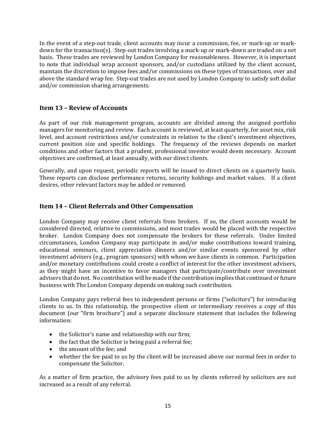In the event of a step-out trade, client accounts may incur a commission, fee, or mark-up or markdown for the transaction(s). Step-out trades involving a mark-up or mark-down are traded on a net basis. These trades are reviewed by London Company for reasonableness. However, it is important to note that individual wrap account sponsors, and/or custodians utilized by the client account, maintain the discretion to impose fees and/or commissions on these types of transactions, over and above the standard wrap fee. Step-out trades are not used by London Company to satisfy soft dollar and/or commission sharing arrangements.

# <span id="page-15-0"></span>**Item 13 – Review of Accounts**

As part of our risk management program, accounts are divided among the assigned portfolio managers for monitoring and review. Each account is reviewed, at least quarterly, for asset mix, risk level, and account restrictions and/or constraints in relation to the client's investment objectives, current position size and specific holdings. The frequency of the reviews depends on market conditions and other factors that a prudent, professional investor would deem necessary. Account objectives are confirmed, at least annually, with our direct clients.

Generally, and upon request, periodic reports will be issued to direct clients on a quarterly basis. These reports can disclose performance returns, security holdings and market values. If a client desires, other relevant factors may be added or removed.

# <span id="page-15-1"></span>**Item 14 – Client Referrals and Other Compensation**

London Company may receive client referrals from brokers. If so, the client accounts would be considered directed, relative to commissions, and most trades would be placed with the respective broker. London Company does not compensate the brokers for these referrals. Under limited circumstances, London Company may participate in and/or make contributions toward training, educational seminars, client appreciation dinners and/or similar events sponsored by other investment advisers (e.g., program sponsors) with whom we have clients in common. Participation and/or monetary contributions could create a conflict of interest for the other investment advisers, as they might have an incentive to favor managers that participate/contribute over investment advisers that do not. No contribution will be made if the contribution implies that continued or future business with The London Company depends on making such contribution.

London Company pays referral fees to independent persons or firms ("solicitors") for introducing clients to us. In this relationship, the prospective client or intermediary receives a copy of this document (our "firm brochure") and a separate disclosure statement that includes the following information:

- the Solicitor's name and relationship with our firm;
- the fact that the Solicitor is being paid a referral fee;
- the amount of the fee; and
- whether the fee paid to us by the client will be increased above our normal fees in order to compensate the Solicitor.

As a matter of firm practice, the advisory fees paid to us by clients referred by solicitors are not increased as a result of any referral.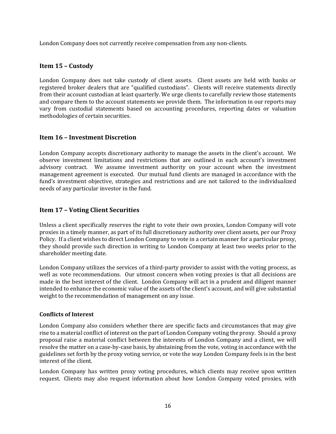London Company does not currently receive compensation from any non-clients.

# <span id="page-16-0"></span>**Item 15 – Custody**

London Company does not take custody of client assets. Client assets are held with banks or registered broker dealers that are "qualified custodians". Clients will receive statements directly from their account custodian at least quarterly. We urge clients to carefully review those statements and compare them to the account statements we provide them. The information in our reports may vary from custodial statements based on accounting procedures, reporting dates or valuation methodologies of certain securities.

# <span id="page-16-1"></span>**Item 16 – Investment Discretion**

London Company accepts discretionary authority to manage the assets in the client's account. We observe investment limitations and restrictions that are outlined in each account's investment advisory contract. We assume investment authority on your account when the investment management agreement is executed. Our mutual fund clients are managed in accordance with the fund's investment objective, strategies and restrictions and are not tailored to the individualized needs of any particular investor in the fund.

# <span id="page-16-2"></span>**Item 17 – Voting Client Securities**

Unless a client specifically reserves the right to vote their own proxies, London Company will vote proxies in a timely manner, as part of its full discretionary authority over client assets, per our Proxy Policy. If a client wishes to direct London Company to vote in a certain manner for a particular proxy, they should provide such direction in writing to London Company at least two weeks prior to the shareholder meeting date.

London Company utilizes the services of a third-party provider to assist with the voting process, as well as vote recommendations. Our utmost concern when voting proxies is that all decisions are made in the best interest of the client. London Company will act in a prudent and diligent manner intended to enhance the economic value of the assets of the client's account, and will give substantial weight to the recommendation of management on any issue.

#### **Conflicts of Interest**

London Company also considers whether there are specific facts and circumstances that may give rise to a material conflict of interest on the part of London Company voting the proxy. Should a proxy proposal raise a material conflict between the interests of London Company and a client, we will resolve the matter on a case-by-case basis, by abstaining from the vote, voting in accordance with the guidelines set forth by the proxy voting service, or vote the way London Company feels is in the best interest of the client.

London Company has written proxy voting procedures, which clients may receive upon written request. Clients may also request information about how London Company voted proxies, with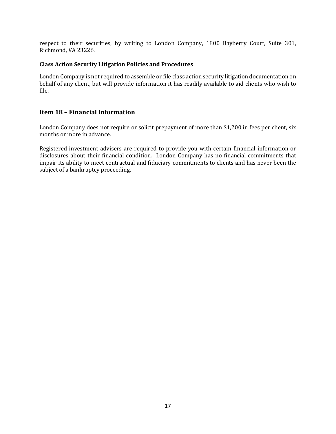respect to their securities, by writing to London Company, 1800 Bayberry Court, Suite 301, Richmond, VA 23226.

#### **Class Action Security Litigation Policies and Procedures**

London Company is not required to assemble or file class action security litigation documentation on behalf of any client, but will provide information it has readily available to aid clients who wish to file.

## <span id="page-17-0"></span>**Item 18 – Financial Information**

London Company does not require or solicit prepayment of more than \$1,200 in fees per client, six months or more in advance.

Registered investment advisers are required to provide you with certain financial information or disclosures about their financial condition. London Company has no financial commitments that impair its ability to meet contractual and fiduciary commitments to clients and has never been the subject of a bankruptcy proceeding.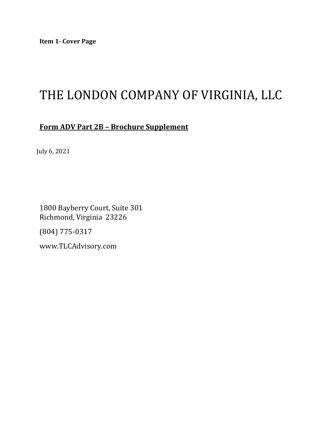# THE LONDON COMPANY OF VIRGINIA, LLC

# **Form ADV Part 2B – Brochure Supplement**

July 6, 2021

1800 Bayberry Court, Suite 301 Richmond, Virginia 23226

(804) 775-0317

[www.TLCAdvisory.com](http://www.tlcadvisory.com/)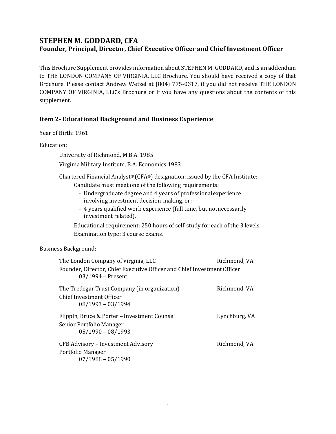# **STEPHEN M. GODDARD, CFA Founder, Principal, Director, Chief Executive Officer and Chief Investment Officer**

This Brochure Supplement provides information about STEPHEN M. GODDARD, and is an addendum to THE LONDON COMPANY OF VIRGINIA, LLC Brochure. You should have received a copy of that Brochure. Please contact Andrew Wetzel at (804) 775-0317, if you did not receive THE LONDON COMPANY OF VIRGINIA, LLC's Brochure or if you have any questions about the contents of this supplement.

# **Item 2- Educational Background and Business Experience**

Year of Birth: 1961

Education:

University of Richmond, M.B.A. 1985

Virginia Military Institute, B.A. Economics 1983

Chartered Financial Analyst® (CFA®) designation, issued by the CFA Institute: Candidate must meet one of the following requirements:

- Undergraduate degree and 4 years of professionalexperience involving investment decision-making, or;
- 4 years qualified work experience (full time, but notnecessarily investment related).

Educational requirement: 250 hours of self-study for each of the 3 levels. Examination type: 3 course exams.

| The London Company of Virginia, LLC                                                            | Richmond, VA  |
|------------------------------------------------------------------------------------------------|---------------|
| Founder, Director, Chief Executive Officer and Chief Investment Officer<br>$03/1994$ – Present |               |
| The Tredegar Trust Company (in organization)                                                   | Richmond, VA  |
| Chief Investment Officer                                                                       |               |
| $08/1993 - 03/1994$                                                                            |               |
| Flippin, Bruce & Porter – Investment Counsel                                                   | Lynchburg, VA |
| Senior Portfolio Manager                                                                       |               |
| $05/1990 - 08/1993$                                                                            |               |
| CFB Advisory - Investment Advisory                                                             | Richmond, VA  |
| Portfolio Manager                                                                              |               |
| $07/1988 - 05/1990$                                                                            |               |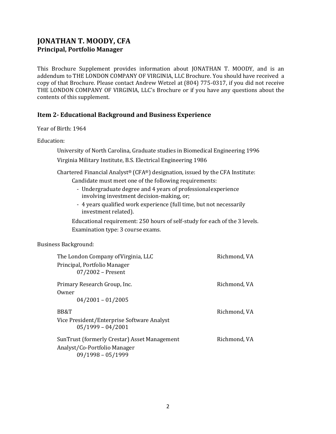# **JONATHAN T. MOODY, CFA Principal, Portfolio Manager**

This Brochure Supplement provides information about JONATHAN T. MOODY, and is an addendum to THE LONDON COMPANY OF VIRGINIA, LLC Brochure. You should have received a copy of that Brochure. Please contact Andrew Wetzel at (804) 775-0317, if you did not receive THE LONDON COMPANY OF VIRGINIA, LLC's Brochure or if you have any questions about the contents of this supplement.

# **Item 2- Educational Background and Business Experience**

Year of Birth: 1964

Education:

University of North Carolina, Graduate studies in Biomedical Engineering 1996

Virginia Military Institute, B.S. Electrical Engineering 1986

Chartered Financial Analyst® (CFA®) designation, issued by the CFA Institute:

Candidate must meet one of the following requirements:

- Undergraduate degree and 4 years of professionalexperience involving investment decision-making, or;
- 4 years qualified work experience (full time, but not necessarily investment related).

Educational requirement: 250 hours of self-study for each of the 3 levels. Examination type: 3 course exams.

| The London Company of Virginia, LLC<br>Principal, Portfolio Manager<br>07/2002 - Present | Richmond, VA |
|------------------------------------------------------------------------------------------|--------------|
| Primary Research Group, Inc.<br>Owner                                                    | Richmond, VA |
| $04/2001 - 01/2005$                                                                      |              |
| BB&T                                                                                     | Richmond, VA |
| Vice President/Enterprise Software Analyst<br>$05/1999 - 04/2001$                        |              |
| SunTrust (formerly Crestar) Asset Management                                             | Richmond, VA |
| Analyst/Co-Portfolio Manager<br>$09/1998 - 05/1999$                                      |              |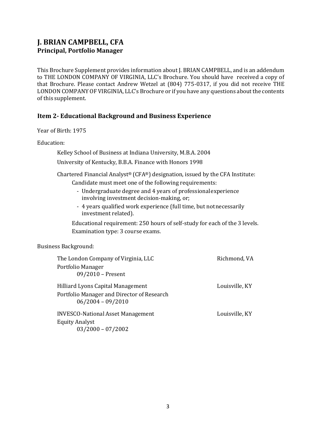# **J. BRIAN CAMPBELL, CFA Principal, Portfolio Manager**

This Brochure Supplement provides information about J. BRIAN CAMPBELL, and is an addendum to THE LONDON COMPANY OF VIRGINIA, LLC's Brochure. You should have received a copy of that Brochure. Please contact Andrew Wetzel at (804) 775-0317, if you did not receive THE LONDON COMPANY OF VIRGINIA, LLC's Brochure or if you have any questions about the contents of this supplement.

# **Item 2- Educational Background and Business Experience**

Year of Birth: 1975

Education:

Kelley School of Business at Indiana University, M.B.A. 2004

University of Kentucky, B.B.A. Finance with Honors 1998

Chartered Financial Analyst® (CFA®) designation, issued by the CFA Institute: Candidate must meet one of the following requirements:

- Undergraduate degree and 4 years of professionalexperience involving investment decision-making, or;
- 4 years qualified work experience (full time, but notnecessarily investment related).

Educational requirement: 250 hours of self-study for each of the 3 levels. Examination type: 3 course exams.

| The London Company of Virginia, LLC                               | Richmond, VA   |
|-------------------------------------------------------------------|----------------|
| Portfolio Manager                                                 |                |
| 09/2010 - Present                                                 |                |
| Hilliard Lyons Capital Management                                 | Louisville, KY |
| Portfolio Manager and Director of Research<br>$06/2004 - 09/2010$ |                |
| <b>INVESCO-National Asset Management</b>                          | Louisville, KY |
| <b>Equity Analyst</b>                                             |                |
| $03/2000 - 07/2002$                                               |                |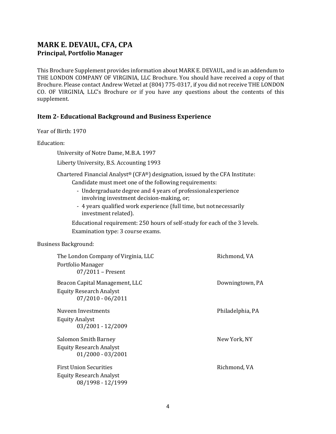# **MARK E. DEVAUL, CFA, CPA Principal, Portfolio Manager**

This Brochure Supplement provides information about MARK E. DEVAUL, and is an addendum to THE LONDON COMPANY OF VIRGINIA, LLC Brochure. You should have received a copy of that Brochure. Please contact Andrew Wetzel at (804) 775-0317, if you did not receive THE LONDON CO. OF VIRGINIA, LLC's Brochure or if you have any questions about the contents of this supplement.

## **Item 2- Educational Background and Business Experience**

Year of Birth: 1970

Education:

University of Notre Dame, M.B.A. 1997

Liberty University, B.S. Accounting 1993

Chartered Financial Analyst® (CFA®) designation, issued by the CFA Institute:

Candidate must meet one of the following requirements:

- Undergraduate degree and 4 years of professionalexperience involving investment decision-making, or;
- 4 years qualified work experience (full time, but notnecessarily investment related).

Educational requirement: 250 hours of self-study for each of the 3 levels. Examination type: 3 course exams.

| The London Company of Virginia, LLC<br>Portfolio Manager | Richmond, VA     |
|----------------------------------------------------------|------------------|
| $07/2011$ – Present                                      |                  |
| Beacon Capital Management, LLC                           | Downingtown, PA  |
| <b>Equity Research Analyst</b>                           |                  |
| $07/2010 - 06/2011$                                      |                  |
| Nuveen Investments                                       | Philadelphia, PA |
| <b>Equity Analyst</b>                                    |                  |
| 03/2001 - 12/2009                                        |                  |
| Salomon Smith Barney                                     | New York, NY     |
| <b>Equity Research Analyst</b>                           |                  |
| $01/2000 - 03/2001$                                      |                  |
| <b>First Union Securities</b>                            | Richmond, VA     |
| <b>Equity Research Analyst</b>                           |                  |
| 08/1998 - 12/1999                                        |                  |
|                                                          |                  |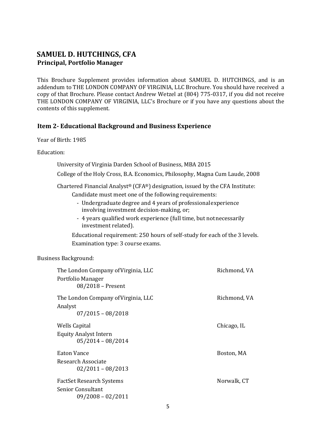# **SAMUEL D. HUTCHINGS, CFA Principal, Portfolio Manager**

This Brochure Supplement provides information about SAMUEL D. HUTCHINGS, and is an addendum to THE LONDON COMPANY OF VIRGINIA, LLC Brochure. You should have received a copy of that Brochure. Please contact Andrew Wetzel at (804) 775-0317, if you did not receive THE LONDON COMPANY OF VIRGINIA, LLC's Brochure or if you have any questions about the contents of this supplement.

#### **Item 2- Educational Background and Business Experience**

Year of Birth: 1985

Education:

University of Virginia Darden School of Business, MBA 2015

College of the Holy Cross, B.A. Economics, Philosophy, Magna Cum Laude, 2008

Chartered Financial Analyst® (CFA®) designation, issued by the CFA Institute: Candidate must meet one of the following requirements:

- Undergraduate degree and 4 years of professionalexperience involving investment decision-making, or;
- 4 years qualified work experience (full time, but notnecessarily investment related).

Educational requirement: 250 hours of self-study for each of the 3 levels. Examination type: 3 course exams.

| The London Company of Virginia, LLC<br>Portfolio Manager<br>08/2018 - Present | Richmond, VA |
|-------------------------------------------------------------------------------|--------------|
| The London Company of Virginia, LLC<br>Analyst<br>$07/2015 - 08/2018$         | Richmond, VA |
| Wells Capital<br><b>Equity Analyst Intern</b><br>$05/2014 - 08/2014$          | Chicago, IL  |
| <b>Eaton Vance</b><br>Research Associate<br>$02/2011 - 08/2013$               | Boston, MA   |
| FactSet Research Systems<br><b>Senior Consultant</b><br>$09/2008 - 02/2011$   | Norwalk, CT  |
|                                                                               |              |